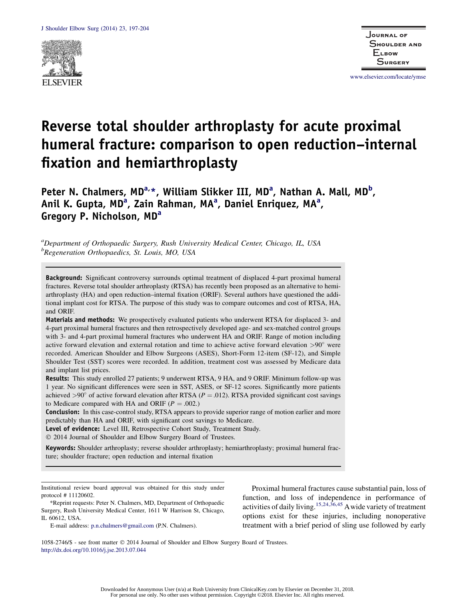

www.elsevier.com/locate/ymse

# Reverse total shoulder arthroplasty for acute proximal humeral fracture: comparison to open reduction–internal fixation and hemiarthroplasty

Peter N. Chalmers, MD<sup>a,</sup>\*, William Slikker III, MD<sup>a</sup>, Nathan A. Mall, MD<sup>b</sup>, Anil K. Gupta, MD<sup>a</sup>, Zain Rahman, MA<sup>a</sup>, Daniel Enriquez, MA<sup>a</sup>, Gregory P. Nicholson, MD<sup>a</sup>

<sup>a</sup>Department of Orthopaedic Surgery, Rush University Medical Center, Chicago, IL, USA <sup>b</sup>Regeneration Orthopaedics, St. Louis, MO, USA

Background: Significant controversy surrounds optimal treatment of displaced 4-part proximal humeral fractures. Reverse total shoulder arthroplasty (RTSA) has recently been proposed as an alternative to hemiarthroplasty (HA) and open reduction–internal fixation (ORIF). Several authors have questioned the additional implant cost for RTSA. The purpose of this study was to compare outcomes and cost of RTSA, HA, and ORIF.

Materials and methods: We prospectively evaluated patients who underwent RTSA for displaced 3- and 4-part proximal humeral fractures and then retrospectively developed age- and sex-matched control groups with 3- and 4-part proximal humeral fractures who underwent HA and ORIF. Range of motion including active forward elevation and external rotation and time to achieve active forward elevation  $>90^\circ$  were recorded. American Shoulder and Elbow Surgeons (ASES), Short-Form 12-item (SF-12), and Simple Shoulder Test (SST) scores were recorded. In addition, treatment cost was assessed by Medicare data and implant list prices.

Results: This study enrolled 27 patients; 9 underwent RTSA, 9 HA, and 9 ORIF. Minimum follow-up was 1 year. No significant differences were seen in SST, ASES, or SF-12 scores. Significantly more patients achieved >90 $^{\circ}$  of active forward elevation after RTSA ( $P = .012$ ). RTSA provided significant cost savings to Medicare compared with HA and ORIF ( $P = .002$ .)

**Conclusion:** In this case-control study, RTSA appears to provide superior range of motion earlier and more predictably than HA and ORIF, with significant cost savings to Medicare.

Level of evidence: Level III, Retrospective Cohort Study, Treatment Study.

2014 Journal of Shoulder and Elbow Surgery Board of Trustees.

Keywords: Shoulder arthroplasty; reverse shoulder arthroplasty; hemiarthroplasty; proximal humeral fracture; shoulder fracture; open reduction and internal fixation

Institutional review board approval was obtained for this study under protocol # 11120602.

\*Reprint requests: Peter N. Chalmers, MD, Department of Orthopaedic Surgery, Rush University Medical Center, 1611 W Harrison St, Chicago, IL 60612, USA.

E-mail address: p.n.chalmers@gmail.com (P.N. Chalmers).

Proximal humeral fractures cause substantial pain, loss of function, and loss of independence in performance of activities of daily living.<sup>15,24,36,45</sup> A wide variety of treatment options exist for these injuries, including nonoperative treatment with a brief period of sling use followed by early

1058-2746/\$ - see front matter 2014 Journal of Shoulder and Elbow Surgery Board of Trustees. http://dx.doi.org/10.1016/j.jse.2013.07.044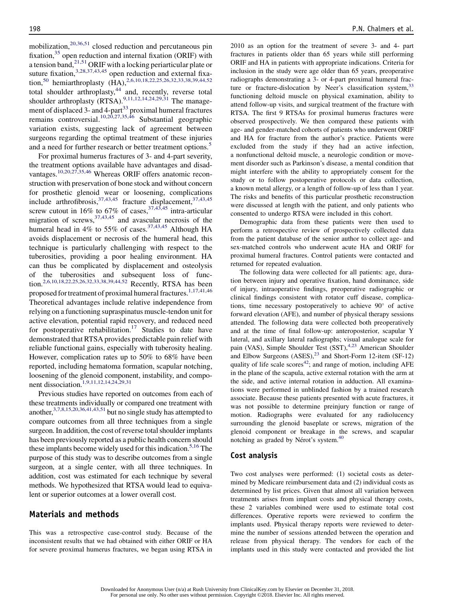mobilization,<sup>20,36,51</sup> closed reduction and percutaneous pin fixation,  $35$  open reduction and internal fixation (ORIF) with a tension band, $^{21,51}$  ORIF with a locking periarticular plate or suture fixation,  $3,28,37,43,45$  open reduction and external fixation,<sup>50</sup> hemiarthroplasty (HA),<sup>2,6,10,18,22,25,26,32,33,38,39,44,52</sup> total shoulder arthroplasty,<sup>44</sup> and, recently, reverse total shoulder arthroplasty  $(RTSA)$ .<sup>9,11,12,14,24,29,31</sup> The management of displaced 3- and 4-part<sup>33</sup> proximal humeral fractures remains controversial.<sup>10,20,27,35,46</sup> Substantial geographic variation exists, suggesting lack of agreement between surgeons regarding the optimal treatment of these injuries and a need for further research or better treatment options.<sup>5</sup>

For proximal humerus fractures of 3- and 4-part severity, the treatment options available have advantages and disadvantages.10,20,27,35,46 Whereas ORIF offers anatomic reconstruction with preservation of bone stock and without concern for prosthetic glenoid wear or loosening, complications include arthrofibrosis,  $37,43,45$  fracture displacement,  $37,43,45$ screw cutout in 16% to 67% of cases,  $37,43,45$  intra-articular migration of screws,  $37,43,45$  and avascular necrosis of the humeral head in 4% to 55% of cases.<sup>37,43,45</sup> Although HA avoids displacement or necrosis of the humeral head, this technique is particularly challenging with respect to the tuberosities, providing a poor healing environment. HA can thus be complicated by displacement and osteolysis of the tuberosities and subsequent loss of function.2,6,10,18,22,25,26,32,33,38,39,44,52 Recently, RTSA has been proposed for treatment of proximal humeral fractures.<sup>1,17,41,46</sup> Theoretical advantages include relative independence from relying on a functioning supraspinatus muscle-tendon unit for active elevation, potential rapid recovery, and reduced need for postoperative rehabilitation.<sup>17</sup> Studies to date have demonstrated that RTSA provides predictable pain relief with reliable functional gains, especially with tuberosity healing. However, complication rates up to 50% to 68% have been reported, including hematoma formation, scapular notching, loosening of the glenoid component, instability, and component dissociation.1,9,11,12,14,24,29,31

Previous studies have reported on outcomes from each of these treatments individually or compared one treatment with another,<sup>3,7,8,15,20,36,41,43,51</sup> but no single study has attempted to compare outcomes from all three techniques from a single surgeon. In addition, the cost of reverse total shoulder implants has been previously reported as a public health concern should these implants become widely used for this indication.<sup>5,16</sup> The purpose of this study was to describe outcomes from a single surgeon, at a single center, with all three techniques. In addition, cost was estimated for each technique by several methods. We hypothesized that RTSA would lead to equivalent or superior outcomes at a lower overall cost.

# Materials and methods

This was a retrospective case-control study. Because of the inconsistent results that we had obtained with either ORIF or HA for severe proximal humerus fractures, we began using RTSA in 2010 as an option for the treatment of severe 3- and 4- part fractures in patients older than 65 years while still performing ORIF and HA in patients with appropriate indications. Criteria for inclusion in the study were age older than 65 years, preoperative radiographs demonstrating a 3- or 4-part proximal humeral fracture or fracture-dislocation by Neer's classification system,<sup>33</sup> functioning deltoid muscle on physical examination, ability to attend follow-up visits, and surgical treatment of the fracture with RTSA. The first 9 RTSAs for proximal humerus fractures were observed prospectively. We then compared these patients with age- and gender-matched cohorts of patients who underwent ORIF and HA for fracture from the author's practice. Patients were excluded from the study if they had an active infection, a nonfunctional deltoid muscle, a neurologic condition or movement disorder such as Parkinson's disease, a mental condition that might interfere with the ability to appropriately consent for the study or to follow postoperative protocols or data collection, a known metal allergy, or a length of follow-up of less than 1 year. The risks and benefits of this particular prosthetic reconstruction were discussed at length with the patient, and only patients who consented to undergo RTSA were included in this cohort.

Demographic data from these patients were then used to perform a retrospective review of prospectively collected data from the patient database of the senior author to collect age- and sex-matched controls who underwent acute HA and ORIF for proximal humeral fractures. Control patients were contacted and returned for repeated evaluation.

The following data were collected for all patients: age, duration between injury and operative fixation, hand dominance, side of injury, intraoperative findings, preoperative radiographic or clinical findings consistent with rotator cuff disease, complications, time necessary postoperatively to achieve  $90^{\circ}$  of active forward elevation (AFE), and number of physical therapy sessions attended. The following data were collected both preoperatively and at the time of final follow-up: anteroposterior, scapular Y lateral, and axillary lateral radiographs; visual analogue scale for pain (VAS), Simple Shoulder Test (SST), <sup>4,23</sup> American Shoulder and Elbow Surgeons (ASES),<sup>23</sup> and Short-Form 12-item (SF-12) quality of life scale scores<sup>42</sup>; and range of motion, including AFE in the plane of the scapula, active external rotation with the arm at the side, and active internal rotation in adduction. All examinations were performed in unblinded fashion by a trained research associate. Because these patients presented with acute fractures, it was not possible to determine preinjury function or range of motion. Radiographs were evaluated for any radiolucency surrounding the glenoid baseplate or screws, migration of the glenoid component or breakage in the screws, and scapular notching as graded by Nérot's system.<sup>40</sup>

### Cost analysis

Two cost analyses were performed: (1) societal costs as determined by Medicare reimbursement data and (2) individual costs as determined by list prices. Given that almost all variation between treatments arises from implant costs and physical therapy costs, these 2 variables combined were used to estimate total cost differences. Operative reports were reviewed to confirm the implants used. Physical therapy reports were reviewed to determine the number of sessions attended between the operation and release from physical therapy. The vendors for each of the implants used in this study were contacted and provided the list

Downloaded for Anonymous User (n/a) at Rush University from ClinicalKey.com by Elsevier on December 31, 2018. For personal use only. No other uses without permission. Copyright ©2018. Elsevier Inc. All rights reserved.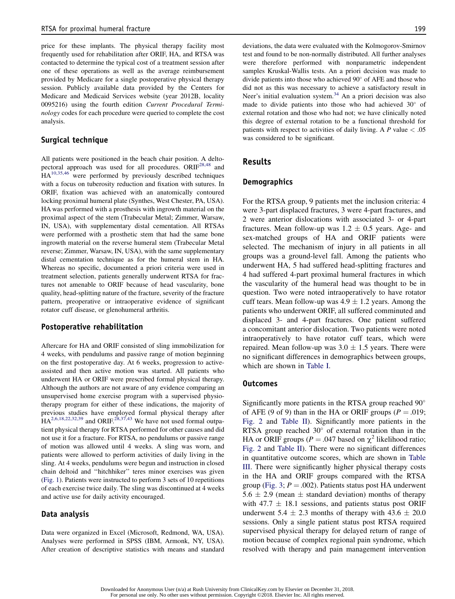price for these implants. The physical therapy facility most frequently used for rehabilitation after ORIF, HA, and RTSA was contacted to determine the typical cost of a treatment session after one of these operations as well as the average reimbursement provided by Medicare for a single postoperative physical therapy session. Publicly available data provided by the Centers for Medicare and Medicaid Services website (year 2012B, locality 0095216) using the fourth edition Current Procedural Terminology codes for each procedure were queried to complete the cost analysis.

#### Surgical technique

All patients were positioned in the beach chair position. A deltopectoral approach was used for all procedures. ORIF<sup>28,48</sup> and HA10,35,46 were performed by previously described techniques with a focus on tuberosity reduction and fixation with sutures. In ORIF, fixation was achieved with an anatomically contoured locking proximal humeral plate (Synthes, West Chester, PA, USA). HA was performed with a prosthesis with ingrowth material on the proximal aspect of the stem (Trabecular Metal; Zimmer, Warsaw, IN, USA), with supplementary distal cementation. All RTSAs were performed with a prosthetic stem that had the same bone ingrowth material on the reverse humeral stem (Trabecular Metal reverse; Zimmer, Warsaw, IN, USA), with the same supplementary distal cementation technique as for the humeral stem in HA. Whereas no specific, documented a priori criteria were used in treatment selection, patients generally underwent RTSA for fractures not amenable to ORIF because of head vascularity, bone quality, head-splitting nature of the fracture, severity of the fracture pattern, preoperative or intraoperative evidence of significant rotator cuff disease, or glenohumeral arthritis.

#### Postoperative rehabilitation

Aftercare for HA and ORIF consisted of sling immobilization for 4 weeks, with pendulums and passive range of motion beginning on the first postoperative day. At 6 weeks, progression to activeassisted and then active motion was started. All patients who underwent HA or ORIF were prescribed formal physical therapy. Although the authors are not aware of any evidence comparing an unsupervised home exercise program with a supervised physiotherapy program for either of these indications, the majority of previous studies have employed formal physical therapy after  $HA^{2,6,18,22,32,39}$  and ORIF.<sup>28,37,43</sup> We have not used formal outpatient physical therapy for RTSA performed for other causes and did not use it for a fracture. For RTSA, no pendulums or passive range of motion was allowed until 4 weeks. A sling was worn, and patients were allowed to perform activities of daily living in the sling. At 4 weeks, pendulums were begun and instruction in closed chain deltoid and ''hitchhiker'' teres minor exercises was given (Fig. 1). Patients were instructed to perform 3 sets of 10 repetitions of each exercise twice daily. The sling was discontinued at 4 weeks and active use for daily activity encouraged.

## Data analysis

Data were organized in Excel (Microsoft, Redmond, WA, USA). Analyses were performed in SPSS (IBM, Armonk, NY, USA). After creation of descriptive statistics with means and standard deviations, the data were evaluated with the Kolmogorov-Smirnov test and found to be non-normally distributed. All further analyses were therefore performed with nonparametric independent samples Kruskal-Wallis tests. An a priori decision was made to divide patients into those who achieved 90° of AFE and those who did not as this was necessary to achieve a satisfactory result in Neer's initial evaluation system. $34$  An a priori decision was also made to divide patients into those who had achieved  $30^{\circ}$  of external rotation and those who had not; we have clinically noted this degree of external rotation to be a functional threshold for patients with respect to activities of daily living. A  $P$  value  $\lt$  .05 was considered to be significant.

## Results

#### **Demographics**

For the RTSA group, 9 patients met the inclusion criteria: 4 were 3-part displaced fractures, 3 were 4-part fractures, and 2 were anterior dislocations with associated 3- or 4-part fractures. Mean follow-up was  $1.2 \pm 0.5$  years. Age- and sex-matched groups of HA and ORIF patients were selected. The mechanism of injury in all patients in all groups was a ground-level fall. Among the patients who underwent HA, 5 had suffered head-splitting fractures and 4 had suffered 4-part proximal humeral fractures in which the vascularity of the humeral head was thought to be in question. Two were noted intraoperatively to have rotator cuff tears. Mean follow-up was  $4.9 \pm 1.2$  years. Among the patients who underwent ORIF, all suffered comminuted and displaced 3- and 4-part fractures. One patient suffered a concomitant anterior dislocation. Two patients were noted intraoperatively to have rotator cuff tears, which were repaired. Mean follow-up was  $3.0 \pm 1.5$  years. There were no significant differences in demographics between groups, which are shown in Table I.

## **Outcomes**

Significantly more patients in the RTSA group reached 90° of AFE (9 of 9) than in the HA or ORIF groups ( $P = .019$ ; Fig. 2 and Table II). Significantly more patients in the RTSA group reached  $30^{\circ}$  of external rotation than in the HA or ORIF groups ( $P = .047$  based on  $\chi^2$  likelihood ratio; Fig. 2 and Table II). There were no significant differences in quantitative outcome scores, which are shown in Table III. There were significantly higher physical therapy costs in the HA and ORIF groups compared with the RTSA group (Fig. 3;  $P = .002$ ). Patients status post HA underwent  $5.6 \pm 2.9$  (mean  $\pm$  standard deviation) months of therapy with  $47.7 \pm 18.1$  sessions, and patients status post ORIF underwent 5.4  $\pm$  2.3 months of therapy with 43.6  $\pm$  20.0 sessions. Only a single patient status post RTSA required supervised physical therapy for delayed return of range of motion because of complex regional pain syndrome, which resolved with therapy and pain management intervention

Downloaded for Anonymous User (n/a) at Rush University from ClinicalKey.com by Elsevier on December 31, 2018. For personal use only. No other uses without permission. Copyright ©2018. Elsevier Inc. All rights reserved.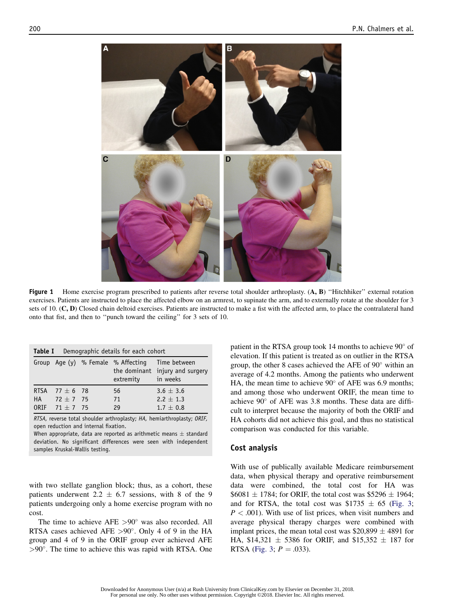

Figure 1 Home exercise program prescribed to patients after reverse total shoulder arthroplasty. (A, B) "Hitchhiker" external rotation exercises. Patients are instructed to place the affected elbow on an armrest, to supinate the arm, and to externally rotate at the shoulder for 3 sets of 10.  $(C, D)$  Closed chain deltoid exercises. Patients are instructed to make a fist with the affected arm, to place the contralateral hand onto that fist, and then to ''punch toward the ceiling'' for 3 sets of 10.

| <b>Table I</b> Demographic details for each cohort |                    |  |                                                                |                                             |  |  |  |  |  |
|----------------------------------------------------|--------------------|--|----------------------------------------------------------------|---------------------------------------------|--|--|--|--|--|
|                                                    |                    |  | Group Age $(y)$ % Female % Affecting Time between<br>extremity | the dominant injury and surgery<br>in weeks |  |  |  |  |  |
|                                                    | RTSA 77 $\pm$ 6 78 |  | 56                                                             | $3.6 + 3.6$                                 |  |  |  |  |  |
| HA.                                                | $72 + 7$ 75        |  | 71                                                             | $2.2 + 1.3$                                 |  |  |  |  |  |
|                                                    | ORIF $71 + 7$ 75   |  | 29                                                             | $1.7 + 0.8$                                 |  |  |  |  |  |

RTSA, reverse total shoulder arthroplasty; HA, hemiarthroplasty; ORIF, open reduction and internal fixation.

When appropriate, data are reported as arithmetic means  $\pm$  standard deviation. No significant differences were seen with independent samples Kruskal-Wallis testing.

with two stellate ganglion block; thus, as a cohort, these patients underwent  $2.2 \pm 6.7$  sessions, with 8 of the 9 patients undergoing only a home exercise program with no cost.

The time to achieve  $AFE > 90^\circ$  was also recorded. All RTSA cases achieved AFE  $>90^\circ$ . Only 4 of 9 in the HA group and 4 of 9 in the ORIF group ever achieved AFE  $>90^\circ$ . The time to achieve this was rapid with RTSA. One patient in the RTSA group took 14 months to achieve  $90^{\circ}$  of elevation. If this patient is treated as on outlier in the RTSA group, the other 8 cases achieved the AFE of  $90^{\circ}$  within an average of 4.2 months. Among the patients who underwent HA, the mean time to achieve  $90^{\circ}$  of AFE was 6.9 months; and among those who underwent ORIF, the mean time to achieve  $90^{\circ}$  of AFE was 3.8 months. These data are difficult to interpret because the majority of both the ORIF and HA cohorts did not achieve this goal, and thus no statistical comparison was conducted for this variable.

### Cost analysis

With use of publically available Medicare reimbursement data, when physical therapy and operative reimbursement data were combined, the total cost for HA was  $$6081 \pm 1784$ ; for ORIF, the total cost was \$5296  $\pm$  1964; and for RTSA, the total cost was  $$1735 \pm 65$  (Fig. 3;  $P < .001$ ). With use of list prices, when visit numbers and average physical therapy charges were combined with implant prices, the mean total cost was  $$20,899 \pm 4891$  for HA,  $$14,321 \pm 5386$  for ORIF, and  $$15,352 \pm 187$  for RTSA (Fig. 3;  $P = .033$ ).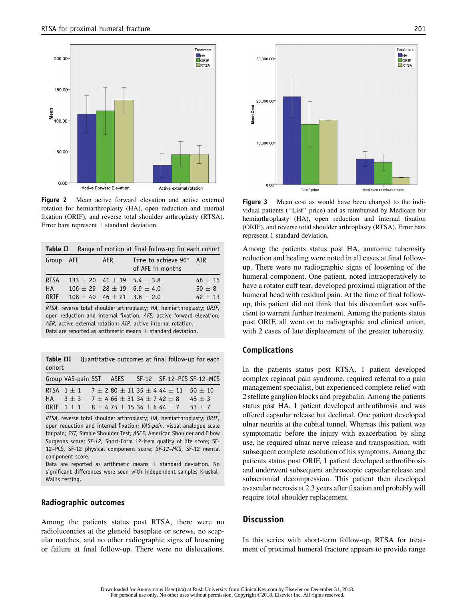

**Figure 2** Mean active forward elevation and active external rotation for hemiarthroplasty (HA), open reduction and internal fixation (ORIF), and reverse total shoulder arthroplasty (RTSA). Error bars represent 1 standard deviation.

| Range of motion at final follow-up for each cohort<br>Table II |  |     |                                                    |           |  |  |  |  |
|----------------------------------------------------------------|--|-----|----------------------------------------------------|-----------|--|--|--|--|
| Group AFE                                                      |  | AER | Time to achieve $90^\circ$ AIR<br>of AFE in months |           |  |  |  |  |
| <b>RTSA</b>                                                    |  |     | $133 \pm 20$ 41 $\pm$ 19 5.4 $\pm$ 3.8             | $46 + 15$ |  |  |  |  |
| НA                                                             |  |     | $106 + 29$ $28 + 19$ $6.9 + 4.0$                   | $50 + 8$  |  |  |  |  |
| <b>ORTF</b>                                                    |  |     | $108 \pm 40$ 46 $\pm$ 21 3.8 $\pm$ 2.0             | $42 + 13$ |  |  |  |  |

RTSA, reverse total shoulder arthroplasty; HA, hemiarthroplasty; ORIF, open reduction and internal fixation; AFE, active forward elevation; AER, active external rotation; AIR, active internal rotation. Data are reported as arithmetic means  $\pm$  standard deviation.

Table III Quantitative outcomes at final follow-up for each cohort

|              |                                    |                                                                         | Group VAS-pain SST ASES SF-12 SF-12-PCS SF-12-MCS |
|--------------|------------------------------------|-------------------------------------------------------------------------|---------------------------------------------------|
|              |                                    | RTSA $1 \pm 1$ $7 \pm 2$ 80 $\pm$ 11 35 $\pm$ 4 44 $\pm$ 11 50 $\pm$ 10 |                                                   |
| $HA$ 3 + 3   | $7 \pm 466 \pm 3134 \pm 742 \pm 8$ |                                                                         | $48 + 3$                                          |
| ORTF $1 + 1$ | $8 + 475 + 1534 + 644 + 7$         |                                                                         | $53 + 7$                                          |

RTSA, reverse total shoulder arthroplasty; HA, hemiarthroplasty; ORIF, open reduction and internal fixation; VAS-pain, visual analogue scale for pain; SST, Simple Shoulder Test; ASES, American Shoulder and Elbow Surgeons score; SF-12, Short-Form 12-item quality of life score; SF-12–PCS, SF-12 physical component score; SF-12–MCS, SF-12 mental component score.

Data are reported as arithmetic means  $\pm$  standard deviation. No significant differences were seen with independent samples Kruskal-Wallis testing.

#### Radiographic outcomes

Among the patients status post RTSA, there were no radiolucencies at the glenoid baseplate or screws, no scapular notches, and no other radiographic signs of loosening or failure at final follow-up. There were no dislocations.



Figure 3 Mean cost as would have been charged to the individual patients (''List'' price) and as reimbursed by Medicare for hemiarthroplasty (HA), open reduction and internal fixation (ORIF), and reverse total shoulder arthroplasty (RTSA). Error bars represent 1 standard deviation.

Among the patients status post HA, anatomic tuberosity reduction and healing were noted in all cases at final followup. There were no radiographic signs of loosening of the humeral component. One patient, noted intraoperatively to have a rotator cuff tear, developed proximal migration of the humeral head with residual pain. At the time of final followup, this patient did not think that his discomfort was sufficient to warrant further treatment. Among the patients status post ORIF, all went on to radiographic and clinical union, with 2 cases of late displacement of the greater tuberosity.

#### Complications

In the patients status post RTSA, 1 patient developed complex regional pain syndrome, required referral to a pain management specialist, but experienced complete relief with 2 stellate ganglion blocks and pregabalin. Among the patients status post HA, 1 patient developed arthrofibrosis and was offered capsular release but declined. One patient developed ulnar neuritis at the cubital tunnel. Whereas this patient was symptomatic before the injury with exacerbation by sling use, he required ulnar nerve release and transposition, with subsequent complete resolution of his symptoms. Among the patients status post ORIF, 1 patient developed arthrofibrosis and underwent subsequent arthroscopic capsular release and subacromial decompression. This patient then developed avascular necrosis at 2.3 years after fixation and probably will require total shoulder replacement.

## **Discussion**

In this series with short-term follow-up, RTSA for treatment of proximal humeral fracture appears to provide range

Downloaded for Anonymous User (n/a) at Rush University from ClinicalKey.com by Elsevier on December 31, 2018. For personal use only. No other uses without permission. Copyright ©2018. Elsevier Inc. All rights reserved.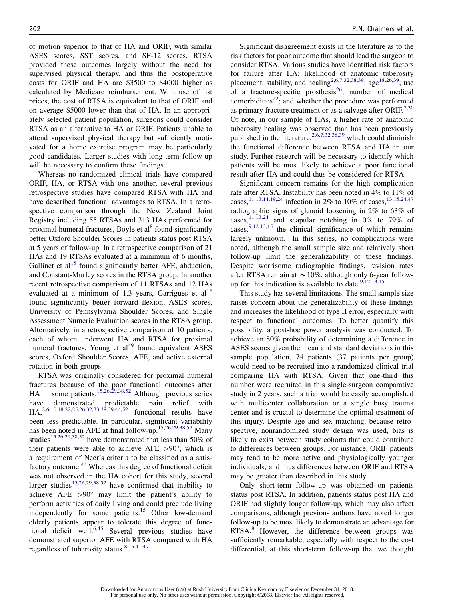of motion superior to that of HA and ORIF, with similar ASES scores, SST scores, and SF-12 scores. RTSA provided these outcomes largely without the need for supervised physical therapy, and thus the postoperative costs for ORIF and HA are \$3500 to \$4000 higher as calculated by Medicare reimbursement. With use of list prices, the cost of RTSA is equivalent to that of ORIF and on average \$5000 lower than that of HA. In an appropriately selected patient population, surgeons could consider RTSA as an alternative to HA or ORIF. Patients unable to attend supervised physical therapy but sufficiently motivated for a home exercise program may be particularly good candidates. Larger studies with long-term follow-up will be necessary to confirm these findings.

Whereas no randomized clinical trials have compared ORIF, HA, or RTSA with one another, several previous retrospective studies have compared RTSA with HA and have described functional advantages to RTSA. In a retrospective comparison through the New Zealand Joint Registry including 55 RTSAs and 313 HAs performed for proximal humeral fractures, Boyle et  $al<sup>8</sup>$  found significantly better Oxford Shoulder Scores in patients status post RTSA at 5 years of follow-up. In a retrospective comparison of 21 HAs and 19 RTSAs evaluated at a minimum of 6 months, Gallinet et al<sup>15</sup> found significantly better AFE, abduction, and Constant-Murley scores in the RTSA group. In another recent retrospective comparison of 11 RTSAs and 12 HAs evaluated at a minimum of 1.3 years, Garrigues et al<sup>16</sup> found significantly better forward flexion, ASES scores, University of Pennsylvania Shoulder Scores, and Single Assessment Numeric Evaluation scores in the RTSA group. Alternatively, in a retrospective comparison of 10 patients, each of whom underwent HA and RTSA for proximal humeral fractures, Young et al<sup>49</sup> found equivalent ASES scores, Oxford Shoulder Scores, AFE, and active external rotation in both groups.

RTSA was originally considered for proximal humeral fractures because of the poor functional outcomes after HA in some patients.<sup>15,26,29,38,52</sup> Although previous series have demonstrated predictable pain relief with HA,2,6,10,18,22,25,26,32,33,38,39,44,52 functional results have been less predictable. In particular, significant variability has been noted in AFE at final follow-up.<sup>15,26,29,38,52</sup> Many studies<sup>15,26,29,38,52</sup> have demonstrated that less than 50% of their patients were able to achieve AFE  $>90^\circ$ , which is a requirement of Neer's criteria to be classified as a satisfactory outcome.<sup>44</sup> Whereas this degree of functional deficit was not observed in the HA cohort for this study, several larger studies<sup>15,26,29,38,52</sup> have confirmed that inability to achieve AFE  $>90^{\circ}$  may limit the patient's ability to perform activities of daily living and could preclude living independently for some patients.<sup>15</sup> Other low-demand elderly patients appear to tolerate this degree of functional deficit well.<sup>6,45</sup> Several previous studies have demonstrated superior AFE with RTSA compared with HA regardless of tuberosity status.<sup>8,15,41,49</sup>

Significant disagreement exists in the literature as to the risk factors for poor outcome that should lead the surgeon to consider RTSA. Various studies have identified risk factors for failure after HA: likelihood of anatomic tuberosity placement, stability, and healing<sup>2,6,7,32,38,39</sup>; age<sup>18,26,39</sup>; use of a fracture-specific prosthesis<sup>26</sup>; number of medical comorbidities<sup>22</sup>; and whether the procedure was performed as primary fracture treatment or as a salvage after ORIF.<sup>7,30</sup> Of note, in our sample of HAs, a higher rate of anatomic tuberosity healing was observed than has been previously published in the literature,  $2,6,7,32,38,39$  which could diminish the functional difference between RTSA and HA in our study. Further research will be necessary to identify which patients will be most likely to achieve a poor functional result after HA and could thus be considered for RTSA.

Significant concern remains for the high complication rate after RTSA. Instability has been noted in 4% to 11% of cases,<sup>11,13,14,19,24</sup> infection in 2% to 10% of cases,<sup>13,15,24,47</sup> radiographic signs of glenoid loosening in 2% to 63% of cases,<sup>11,13,24</sup> and scapular notching in 0% to 79% of cases,  $9,12,13,15$  the clinical significance of which remains largely unknown.<sup>1</sup> In this series, no complications were noted, although the small sample size and relatively short follow-up limit the generalizability of these findings. Despite worrisome radiographic findings, revision rates after RTSA remain at  $\sim$  10%, although only 6-year followup for this indication is available to date.  $9,12,13,15$ 

This study has several limitations. The small sample size raises concern about the generalizability of these findings and increases the likelihood of type II error, especially with respect to functional outcomes. To better quantify this possibility, a post-hoc power analysis was conducted. To achieve an 80% probability of determining a difference in ASES scores given the mean and standard deviations in this sample population, 74 patients (37 patients per group) would need to be recruited into a randomized clinical trial comparing HA with RTSA. Given that one-third this number were recruited in this single-surgeon comparative study in 2 years, such a trial would be easily accomplished with multicenter collaboration or a single busy trauma center and is crucial to determine the optimal treatment of this injury. Despite age and sex matching, because retrospective, nonrandomized study design was used, bias is likely to exist between study cohorts that could contribute to differences between groups. For instance, ORIF patients may tend to be more active and physiologically younger individuals, and thus differences between ORIF and RTSA may be greater than described in this study.

Only short-term follow-up was obtained on patients status post RTSA. In addition, patients status post HA and ORIF had slightly longer follow-up, which may also affect comparisons, although previous authors have noted longer follow-up to be most likely to demonstrate an advantage for  $RTSA.<sup>8</sup>$  However, the difference between groups was sufficiently remarkable, especially with respect to the cost differential, at this short-term follow-up that we thought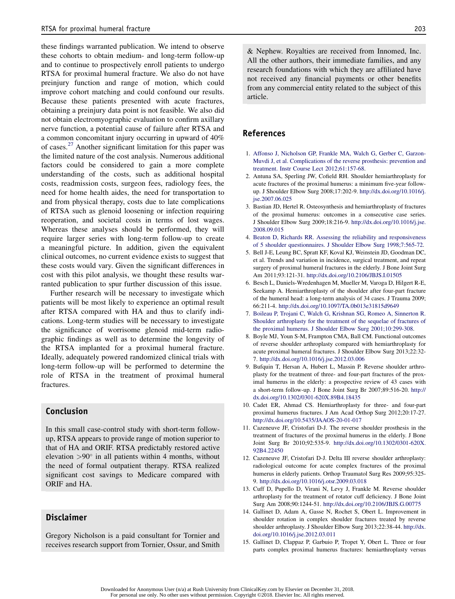these findings warranted publication. We intend to observe these cohorts to obtain medium- and long-term follow-up and to continue to prospectively enroll patients to undergo RTSA for proximal humeral fracture. We also do not have preinjury function and range of motion, which could improve cohort matching and could confound our results. Because these patients presented with acute fractures, obtaining a preinjury data point is not feasible. We also did not obtain electromyographic evaluation to confirm axillary nerve function, a potential cause of failure after RTSA and a common concomitant injury occurring in upward of 40% of cases.<sup>27</sup> Another significant limitation for this paper was the limited nature of the cost analysis. Numerous additional factors could be considered to gain a more complete understanding of the costs, such as additional hospital costs, readmission costs, surgeon fees, radiology fees, the need for home health aides, the need for transportation to and from physical therapy, costs due to late complications of RTSA such as glenoid loosening or infection requiring reoperation, and societal costs in terms of lost wages. Whereas these analyses should be performed, they will require larger series with long-term follow-up to create a meaningful picture. In addition, given the equivalent clinical outcomes, no current evidence exists to suggest that these costs would vary. Given the significant differences in cost with this pilot analysis, we thought these results warranted publication to spur further discussion of this issue.

Further research will be necessary to investigate which patients will be most likely to experience an optimal result after RTSA compared with HA and thus to clarify indications. Long-term studies will be necessary to investigate the significance of worrisome glenoid mid-term radiographic findings as well as to determine the longevity of the RTSA implanted for a proximal humeral fracture. Ideally, adequately powered randomized clinical trials with long-term follow-up will be performed to determine the role of RTSA in the treatment of proximal humeral fractures.

# Conclusion

In this small case-control study with short-term followup, RTSA appears to provide range of motion superior to that of HA and ORIF. RTSA predictably restored active elevation  $>90^\circ$  in all patients within 4 months, without the need of formal outpatient therapy. RTSA realized significant cost savings to Medicare compared with ORIF and HA.

## Disclaimer

Gregory Nicholson is a paid consultant for Tornier and receives research support from Tornier, Ossur, and Smith

& Nephew. Royalties are received from Innomed, Inc. All the other authors, their immediate families, and any research foundations with which they are affiliated have not received any financial payments or other benefits from any commercial entity related to the subject of this article.

## References

- 1. Affonso J, Nicholson GP, Frankle MA, Walch G, Gerber C, Garzon-Muvdi J, et al. Complications of the reverse prosthesis: prevention and treatment. Instr Course Lect 2012;61:157-68.
- 2. Antuna SA, Sperling JW, Cofield RH. Shoulder hemiarthroplasty for acute fractures of the proximal humerus: a minimum five-year followup. J Shoulder Elbow Surg 2008;17:202-9. http://dx.doi.org/10.1016/j. jse.2007.06.025
- 3. Bastian JD, Hertel R. Osteosynthesis and hemiarthroplasty of fractures of the proximal humerus: outcomes in a consecutive case series. J Shoulder Elbow Surg 2009;18:216-9. http://dx.doi.org/10.1016/j.jse. 2008.09.015
- 4. Beaton D, Richards RR. Assessing the reliability and responsiveness of 5 shoulder questionnaires. J Shoulder Elbow Surg 1998;7:565-72.
- 5. Bell J-E, Leung BC, Spratt KF, Koval KJ, Weinstein JD, Goodman DC, et al. Trends and variation in incidence, surgical treatment, and repeat surgery of proximal humeral fractures in the elderly. J Bone Joint Surg Am 2011;93:121-31. http://dx.doi.org/10.2106/JBJS.I.01505
- 6. Besch L, Daniels-Wredenhagen M, Mueller M, Varoga D, Hilgert R-E, Seekamp A. Hemiarthroplasty of the shoulder after four-part fracture of the humeral head: a long-term analysis of 34 cases. J Trauma 2009; 66:211-4. http://dx.doi.org/10.1097/TA.0b013e31815d9649
- 7. Boileau P, Trojani C, Walch G, Krishnan SG, Romeo A, Sinnerton R. Shoulder arthroplasty for the treatment of the sequelae of fractures of the proximal humerus. J Shoulder Elbow Surg 2001;10:299-308.
- 8. Boyle MJ, Youn S-M, Frampton CMA, Ball CM. Functional outcomes of reverse shoulder arthroplasty compared with hemiarthroplasty for acute proximal humeral fractures. J Shoulder Elbow Surg 2013;22:32- 7. http://dx.doi.org/10.1016/j.jse.2012.03.006
- 9. Bufquin T, Hersan A, Hubert L, Massin P. Reverse shoulder arthroplasty for the treatment of three- and four-part fractures of the proximal humerus in the elderly: a prospective review of 43 cases with a short-term follow-up. J Bone Joint Surg Br 2007;89:516-20. http:// dx.doi.org/10.1302/0301-620X.89B4.18435
- 10. Cadet ER, Ahmad CS. Hemiarthroplasty for three- and four-part proximal humerus fractures. J Am Acad Orthop Surg 2012;20:17-27. http://dx.doi.org/10.5435/JAAOS-20-01-017
- 11. Cazeneuve JF, Cristofari D-J. The reverse shoulder prosthesis in the treatment of fractures of the proximal humerus in the elderly. J Bone Joint Surg Br 2010;92:535-9. http://dx.doi.org/10.1302/0301-620X. 92B4.22450
- 12. Cazeneuve JF, Cristofari D-J. Delta III reverse shoulder arthroplasty: radiological outcome for acute complex fractures of the proximal humerus in elderly patients. Orthop Traumatol Surg Res 2009;95:325- 9. http://dx.doi.org/10.1016/j.otsr.2009.03.018
- 13. Cuff D, Pupello D, Virani N, Levy J, Frankle M. Reverse shoulder arthroplasty for the treatment of rotator cuff deficiency. J Bone Joint Surg Am 2008;90:1244-51. http://dx.doi.org/10.2106/JBJS.G.00775
- 14. Gallinet D, Adam A, Gasse N, Rochet S, Obert L. Improvement in shoulder rotation in complex shoulder fractures treated by reverse shoulder arthroplasty. J Shoulder Elbow Surg 2013;22:38-44. http://dx. doi.org/10.1016/j.jse.2012.03.011
- 15. Gallinet D, Clappaz P, Garbuio P, Tropet Y, Obert L. Three or four parts complex proximal humerus fractures: hemiarthroplasty versus